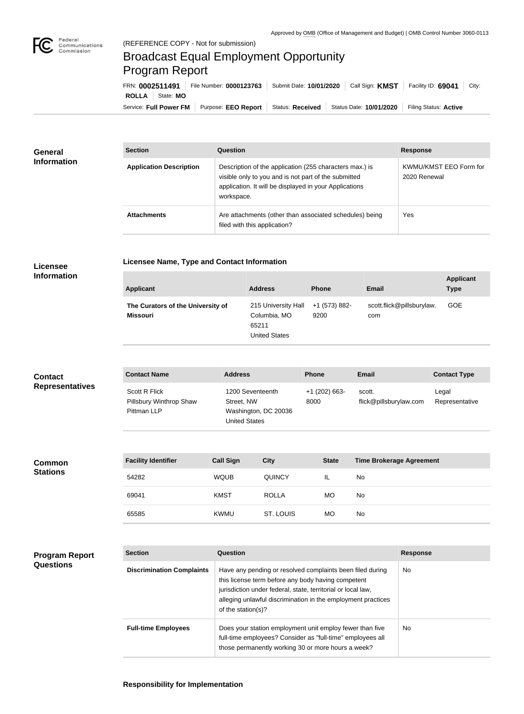

## Broadcast Equal Employment Opportunity Program Report

**Licensee Name, Type and Contact Information**

| FRN: 0002511491 |                        |                                        | File Number: 0000123763   Submit Date: 10/01/2020   Call Sign: KMST   Facility ID: 69041 |                         | City:                 |
|-----------------|------------------------|----------------------------------------|------------------------------------------------------------------------------------------|-------------------------|-----------------------|
| ROLLA           | State: MO              |                                        |                                                                                          |                         |                       |
|                 | Service: Full Power FM | Purpose: EEO Report   Status: Received |                                                                                          | Status Date: 10/01/2020 | Filing Status: Active |

| <b>General</b>     | <b>Section</b>                 | Question                                                                                                                                                                                | <b>Response</b>                        |
|--------------------|--------------------------------|-----------------------------------------------------------------------------------------------------------------------------------------------------------------------------------------|----------------------------------------|
| <b>Information</b> | <b>Application Description</b> | Description of the application (255 characters max.) is<br>visible only to you and is not part of the submitted<br>application. It will be displayed in your Applications<br>workspace. | KWMU/KMST EEO Form for<br>2020 Renewal |
|                    | <b>Attachments</b>             | Are attachments (other than associated schedules) being<br>filed with this application?                                                                                                 | Yes                                    |

## **Licensee Information**

| <b>Applicant</b>                                     | <b>Address</b>                                                       | <b>Phone</b>          | <b>Email</b>                     | <b>Applicant</b><br><b>Type</b> |
|------------------------------------------------------|----------------------------------------------------------------------|-----------------------|----------------------------------|---------------------------------|
| The Curators of the University of<br><b>Missouri</b> | 215 University Hall<br>Columbia, MO<br>65211<br><b>United States</b> | +1 (573) 882-<br>9200 | scott.flick@pillsburylaw.<br>com | <b>GOE</b>                      |

| <b>Contact</b>         | <b>Contact Name</b>                                            | <b>Address</b>                                                                 | <b>Phone</b>            | <b>Email</b>                     | <b>Contact Type</b>     |
|------------------------|----------------------------------------------------------------|--------------------------------------------------------------------------------|-------------------------|----------------------------------|-------------------------|
| <b>Representatives</b> | <b>Scott R Flick</b><br>Pillsbury Winthrop Shaw<br>Pittman LLP | 1200 Seventeenth<br>Street, NW<br>Washington, DC 20036<br><b>United States</b> | $+1$ (202) 663-<br>8000 | scott.<br>flick@pillsburylaw.com | Legal<br>Representative |

| <b>Common</b>   | <b>Facility Identifier</b> | <b>Call Sign</b> | <b>City</b>   | <b>State</b> | <b>Time Brokerage Agreement</b> |
|-----------------|----------------------------|------------------|---------------|--------------|---------------------------------|
| <b>Stations</b> | 54282                      | <b>WQUB</b>      | <b>QUINCY</b> | IL           | No                              |
|                 | 69041                      | <b>KMST</b>      | <b>ROLLA</b>  | <b>MO</b>    | No                              |
|                 | 65585                      | <b>KWMU</b>      | ST. LOUIS     | <b>MO</b>    | No                              |

| <b>Program Report</b> |  |
|-----------------------|--|
| <b>Questions</b>      |  |

| <b>Section</b>                   | Question                                                                                                                                                                                                                                                              | <b>Response</b> |
|----------------------------------|-----------------------------------------------------------------------------------------------------------------------------------------------------------------------------------------------------------------------------------------------------------------------|-----------------|
| <b>Discrimination Complaints</b> | Have any pending or resolved complaints been filed during<br>this license term before any body having competent<br>jurisdiction under federal, state, territorial or local law,<br>alleging unlawful discrimination in the employment practices<br>of the station(s)? | No.             |
| <b>Full-time Employees</b>       | Does your station employment unit employ fewer than five<br>full-time employees? Consider as "full-time" employees all<br>those permanently working 30 or more hours a week?                                                                                          | No.             |